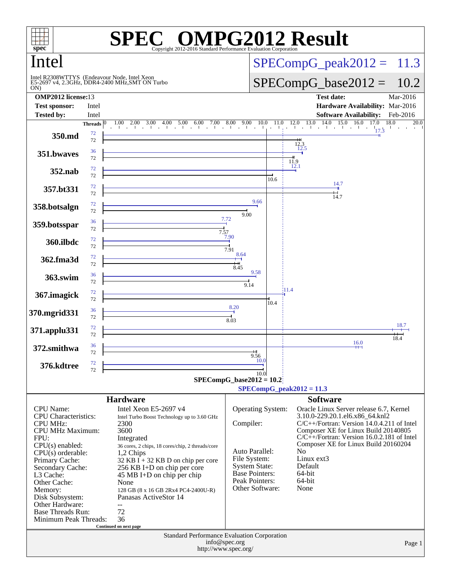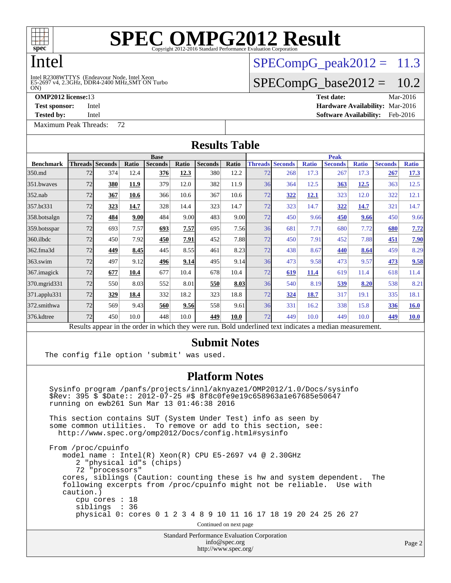

### Intel

#### ON) Intel R2308WTTYS (Endeavour Node, Intel Xeon<br>E5-2697 v4, 2.3GHz, DDR4-2400 MHz,SMT ON Turbo

[Maximum Peak Threads:](http://www.spec.org/auto/omp2012/Docs/result-fields.html#MaximumPeakThreads) 72

 $SPECompG<sub>p</sub>eak2012 = 11.3$ 

### $SPECompG_base2012 = 10.2$  $SPECompG_base2012 = 10.2$

**[OMP2012 license:](http://www.spec.org/auto/omp2012/Docs/result-fields.html#OMP2012license)**13 **[Test date:](http://www.spec.org/auto/omp2012/Docs/result-fields.html#Testdate)** Mar-2016 **[Test sponsor:](http://www.spec.org/auto/omp2012/Docs/result-fields.html#Testsponsor)** Intel **[Hardware Availability:](http://www.spec.org/auto/omp2012/Docs/result-fields.html#HardwareAvailability)** Mar-2016

**[Tested by:](http://www.spec.org/auto/omp2012/Docs/result-fields.html#Testedby)** Intel **[Software Availability:](http://www.spec.org/auto/omp2012/Docs/result-fields.html#SoftwareAvailability)** Feb-2016

| <b>Results Table</b>                                                                                     |             |                          |       |                |       |                |       |             |                        |              |                |              |                |              |  |
|----------------------------------------------------------------------------------------------------------|-------------|--------------------------|-------|----------------|-------|----------------|-------|-------------|------------------------|--------------|----------------|--------------|----------------|--------------|--|
|                                                                                                          | <b>Base</b> |                          |       |                |       |                |       | <b>Peak</b> |                        |              |                |              |                |              |  |
| <b>Benchmark</b>                                                                                         |             | <b>Threads   Seconds</b> | Ratio | <b>Seconds</b> | Ratio | <b>Seconds</b> | Ratio |             | <b>Threads Seconds</b> | <b>Ratio</b> | <b>Seconds</b> | <b>Ratio</b> | <b>Seconds</b> | <b>Ratio</b> |  |
| 350.md                                                                                                   | 72          | 374                      | 12.4  | 376            | 12.3  | 380            | 12.2  | 72          | 268                    | 17.3         | 267            | 17.3         | 267            | 17.3         |  |
| 351.bwayes                                                                                               | 72          | 380                      | 11.9  | 379            | 12.0  | 382            | 11.9  | 36          | 364                    | 12.5         | 363            | 12.5         | 363            | 12.5         |  |
| $352$ .nab                                                                                               | 72          | 367                      | 10.6  | 366            | 10.6  | 367            | 10.6  | 72          | 322                    | 12.1         | 323            | 12.0         | 322            | 12.1         |  |
| 357.bt331                                                                                                | 72          | 323                      | 14.7  | 328            | 14.4  | 323            | 14.7  | 72          | 323                    | 14.7         | 322            | 14.7         | 321            | 14.7         |  |
| 358.botsalgn                                                                                             | 72          | 484                      | 9.00  | 484            | 9.00  | 483            | 9.00  | 72          | 450                    | 9.66         | 450            | 9.66         | 450            | 9.66         |  |
| 359.botsspar                                                                                             | 72          | 693                      | 7.57  | 693            | 7.57  | 695            | 7.56  | 36          | 681                    | 7.71         | 680            | 7.72         | 680            | 7.72         |  |
| 360.ilbdc                                                                                                | 72          | 450                      | 7.92  | 450            | 7.91  | 452            | 7.88  | 72          | 450                    | 7.91         | 452            | 7.88         | 451            | 7.90         |  |
| 362.fma3d                                                                                                | 72          | 449                      | 8.45  | 445            | 8.55  | 461            | 8.23  | 72          | 438                    | 8.67         | 440            | 8.64         | 459            | 8.29         |  |
| 363.swim                                                                                                 | 72          | 497                      | 9.12  | 496            | 9.14  | 495            | 9.14  | 36          | 473                    | 9.58         | 473            | 9.57         | 473            | 9.58         |  |
| 367. imagick                                                                                             | 72          | 677                      | 10.4  | 677            | 10.4  | 678            | 10.4  | 72          | 619                    | 11.4         | 619            | 11.4         | 618            | 11.4         |  |
| 370.mgrid331                                                                                             | 72          | 550                      | 8.03  | 552            | 8.01  | 550            | 8.03  | 36          | 540                    | 8.19         | 539            | 8.20         | 538            | 8.21         |  |
| 371.applu331                                                                                             | 72          | 329                      | 18.4  | 332            | 18.2  | 323            | 18.8  | 72          | 324                    | 18.7         | 317            | 19.1         | 335            | 18.1         |  |
| 372.smithwa                                                                                              | 72          | 569                      | 9.43  | 560            | 9.56  | 558            | 9.61  | 36          | 331                    | 16.2         | 338            | 15.8         | 336            | <b>16.0</b>  |  |
| 376.kdtree                                                                                               | 72          | 450                      | 10.0  | 448            | 10.0  | 449            | 10.0  | 72          | 449                    | 10.0         | 449            | 10.0         | 449            | <b>10.0</b>  |  |
| Results appear in the order in which they were run. Bold underlined text indicates a median measurement. |             |                          |       |                |       |                |       |             |                        |              |                |              |                |              |  |

#### **[Submit Notes](http://www.spec.org/auto/omp2012/Docs/result-fields.html#SubmitNotes)**

The config file option 'submit' was used.

#### **[Platform Notes](http://www.spec.org/auto/omp2012/Docs/result-fields.html#PlatformNotes)**

 Sysinfo program /panfs/projects/innl/aknyaze1/OMP2012/1.0/Docs/sysinfo \$Rev: 395 \$ \$Date:: 2012-07-25 #\$ 8f8c0fe9e19c658963a1e67685e50647 running on ewb261 Sun Mar 13 01:46:38 2016

 This section contains SUT (System Under Test) info as seen by some common utilities. To remove or add to this section, see: <http://www.spec.org/omp2012/Docs/config.html#sysinfo>

 From /proc/cpuinfo model name : Intel(R) Xeon(R) CPU E5-2697 v4 @ 2.30GHz 2 "physical id"s (chips) 72 "processors" cores, siblings (Caution: counting these is hw and system dependent. The following excerpts from /proc/cpuinfo might not be reliable. Use with caution.) cpu cores : 18 siblings : 36 physical 0: cores 0 1 2 3 4 8 9 10 11 16 17 18 19 20 24 25 26 27 Continued on next page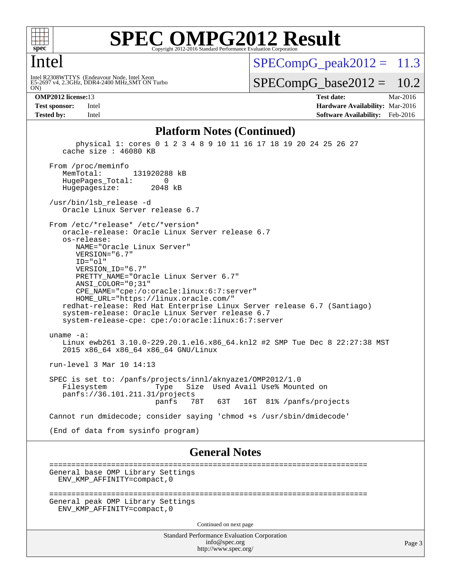

#### Intel

ON) Intel R2308WTTYS (Endeavour Node, Intel Xeon<br>E5-2697 v4, 2.3GHz, DDR4-2400 MHz,SMT ON Turbo  $SPECompG<sub>p</sub>eak2012 = 11.3$ 

 $SPECompG_base2012 = 10.2$  $SPECompG_base2012 = 10.2$ 

**[OMP2012 license:](http://www.spec.org/auto/omp2012/Docs/result-fields.html#OMP2012license)**13 **[Test date:](http://www.spec.org/auto/omp2012/Docs/result-fields.html#Testdate)** Mar-2016 **[Test sponsor:](http://www.spec.org/auto/omp2012/Docs/result-fields.html#Testsponsor)** Intel **[Hardware Availability:](http://www.spec.org/auto/omp2012/Docs/result-fields.html#HardwareAvailability)** Mar-2016 **[Tested by:](http://www.spec.org/auto/omp2012/Docs/result-fields.html#Testedby)** Intel **[Software Availability:](http://www.spec.org/auto/omp2012/Docs/result-fields.html#SoftwareAvailability)** Feb-2016

#### **[Platform Notes \(Continued\)](http://www.spec.org/auto/omp2012/Docs/result-fields.html#PlatformNotes)**

 physical 1: cores 0 1 2 3 4 8 9 10 11 16 17 18 19 20 24 25 26 27 cache size : 46080 KB From /proc/meminfo<br>MemTotal: 131920288 kB HugePages\_Total: 0 Hugepagesize: 2048 kB /usr/bin/lsb\_release -d Oracle Linux Server release 6.7 From /etc/\*release\* /etc/\*version\* oracle-release: Oracle Linux Server release 6.7 os-release: NAME="Oracle Linux Server" VERSION="6.7" ID="ol" VERSION\_ID="6.7" PRETTY\_NAME="Oracle Linux Server 6.7" ANSI\_COLOR="0;31" CPE\_NAME="cpe:/o:oracle:linux:6:7:server" HOME\_URL="<https://linux.oracle.com/"> redhat-release: Red Hat Enterprise Linux Server release 6.7 (Santiago) system-release: Oracle Linux Server release 6.7 system-release-cpe: cpe:/o:oracle:linux:6:7:server uname -a: Linux ewb261 3.10.0-229.20.1.el6.x86\_64.knl2 #2 SMP Tue Dec 8 22:27:38 MST 2015 x86\_64 x86\_64 x86\_64 GNU/Linux run-level 3 Mar 10 14:13 SPEC is set to: /panfs/projects/innl/aknyaze1/OMP2012/1.0 Type Size Used Avail Use% Mounted on panfs://36.101.211.31/projects panfs 78T 63T 16T 81% /panfs/projects Cannot run dmidecode; consider saying 'chmod +s /usr/sbin/dmidecode' (End of data from sysinfo program) **[General Notes](http://www.spec.org/auto/omp2012/Docs/result-fields.html#GeneralNotes)** ======================================================================== General base OMP Library Settings ENV\_KMP\_AFFINITY=compact,0 ======================================================================== General peak OMP Library Settings ENV\_KMP\_AFFINITY=compact,0

Continued on next page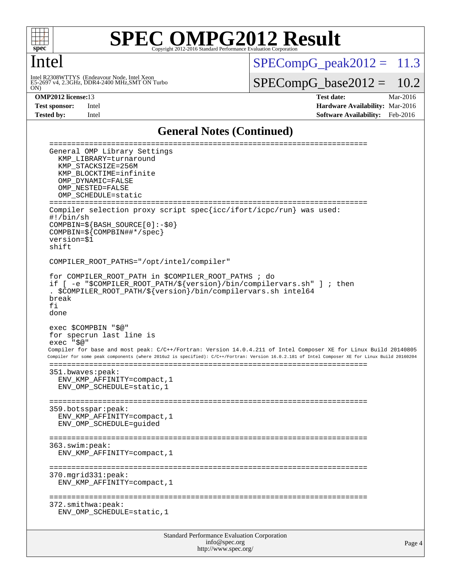

#### Intel

Intel R2308WTTYS (Endeavour Node, Intel Xeon<br>E5-2697 v4, 2.3GHz, DDR4-2400 MHz,SMT ON Turbo<br>ON)

 $SPECompG_peak2012 = 11.3$  $SPECompG_peak2012 = 11.3$ 

 $SPECompG_base2012 = 10.2$  $SPECompG_base2012 = 10.2$ 

**[OMP2012 license:](http://www.spec.org/auto/omp2012/Docs/result-fields.html#OMP2012license)**13 **[Test date:](http://www.spec.org/auto/omp2012/Docs/result-fields.html#Testdate)** Mar-2016 **[Test sponsor:](http://www.spec.org/auto/omp2012/Docs/result-fields.html#Testsponsor)** Intel **[Hardware Availability:](http://www.spec.org/auto/omp2012/Docs/result-fields.html#HardwareAvailability)** Mar-2016 **[Tested by:](http://www.spec.org/auto/omp2012/Docs/result-fields.html#Testedby)** Intel **[Software Availability:](http://www.spec.org/auto/omp2012/Docs/result-fields.html#SoftwareAvailability)** Feb-2016

#### **[General Notes \(Continued\)](http://www.spec.org/auto/omp2012/Docs/result-fields.html#GeneralNotes)**

| General OMP Library Settings<br>KMP_LIBRARY=turnaround<br>KMP STACKSIZE=256M<br>KMP BLOCKTIME=infinite<br>OMP DYNAMIC=FALSE<br>OMP NESTED=FALSE<br>OMP SCHEDULE=static<br>===================<br>-------------<br>=======                                                                                                                                                                                             |  |  |  |  |  |
|-----------------------------------------------------------------------------------------------------------------------------------------------------------------------------------------------------------------------------------------------------------------------------------------------------------------------------------------------------------------------------------------------------------------------|--|--|--|--|--|
| Compiler selection proxy script spec{icc/ifort/icpc/run} was used:<br>#!/bin/sh<br>$COMPBIN = \frac{2}{5} \{BASH_SOWRCE[0]: -\frac{2}{5}0\}$<br>$COMPBIN = \frac{2}{5} \{COMPBIN# \# \times / spec \}$<br>version=\$1<br>shift                                                                                                                                                                                        |  |  |  |  |  |
| COMPILER_ROOT_PATHS="/opt/intel/compiler"                                                                                                                                                                                                                                                                                                                                                                             |  |  |  |  |  |
| for COMPILER ROOT PATH in \$COMPILER ROOT PATHS ; do<br>if [ -e "\$COMPILER_ROOT_PATH/\${version}/bin/compilervars.sh" ] ; then<br>. \$COMPILER_ROOT_PATH/\${version}/bin/compilervars.sh intel64<br>break<br>fi<br>done                                                                                                                                                                                              |  |  |  |  |  |
| exec \$COMPBIN "\$@"<br>for specrun last line is<br>exec "\$@"<br>Compiler for base and most peak: C/C++/Fortran: Version 14.0.4.211 of Intel Composer XE for Linux Build 20140805<br>Compiler for some peak components (where 2016u2 is specified): C/C++/Fortran: Version 16.0.2.181 of Intel Composer XE for Linux Build 20160204<br>351.bwaves:peak:<br>ENV_KMP_AFFINITY=compact, 1<br>ENV OMP SCHEDULE=static, 1 |  |  |  |  |  |
| 359.botsspar:peak:<br>ENV KMP AFFINITY=compact, 1<br>ENV_OMP_SCHEDULE=guided                                                                                                                                                                                                                                                                                                                                          |  |  |  |  |  |
| ==============<br>---------------------<br>363.swim:peak:<br>ENV_KMP_AFFINITY=compact, 1                                                                                                                                                                                                                                                                                                                              |  |  |  |  |  |
| 370.mgrid331:peak:<br>ENV_KMP_AFFINITY=compact, 1                                                                                                                                                                                                                                                                                                                                                                     |  |  |  |  |  |
| 372.smithwa:peak:<br>ENV_OMP_SCHEDULE=static, 1                                                                                                                                                                                                                                                                                                                                                                       |  |  |  |  |  |
| Standard Performance Evaluation Corporation                                                                                                                                                                                                                                                                                                                                                                           |  |  |  |  |  |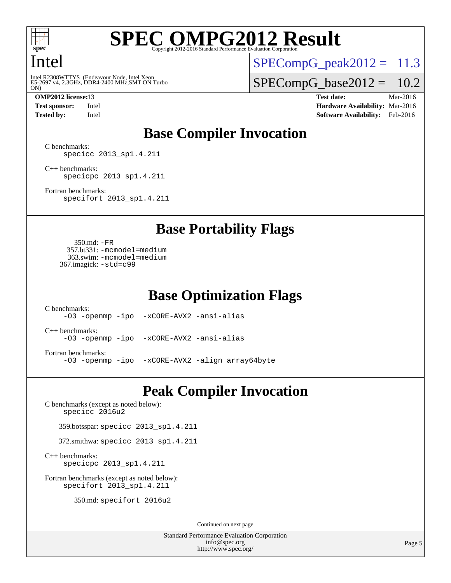

#### Intel

Intel R2308WTTYS (Endeavour Node, Intel Xeon<br>E5-2697 v4, 2.3GHz, DDR4-2400 MHz,SMT ON Turbo<br>ON)

 $SPECompG_peak2012 = 11.3$  $SPECompG_peak2012 = 11.3$ 

 $SPECompG_base2012 = 10.2$  $SPECompG_base2012 = 10.2$ 

**[OMP2012 license:](http://www.spec.org/auto/omp2012/Docs/result-fields.html#OMP2012license)**13 **[Test date:](http://www.spec.org/auto/omp2012/Docs/result-fields.html#Testdate)** Mar-2016 **[Test sponsor:](http://www.spec.org/auto/omp2012/Docs/result-fields.html#Testsponsor)** Intel **[Hardware Availability:](http://www.spec.org/auto/omp2012/Docs/result-fields.html#HardwareAvailability)** Mar-2016 **[Tested by:](http://www.spec.org/auto/omp2012/Docs/result-fields.html#Testedby)** Intel **[Software Availability:](http://www.spec.org/auto/omp2012/Docs/result-fields.html#SoftwareAvailability)** Feb-2016

### **[Base Compiler Invocation](http://www.spec.org/auto/omp2012/Docs/result-fields.html#BaseCompilerInvocation)**

[C benchmarks](http://www.spec.org/auto/omp2012/Docs/result-fields.html#Cbenchmarks): [specicc 2013\\_sp1.4.211](http://www.spec.org/omp2012/results/res2016q1/omp2012-20160316-00068.flags.html#user_CCbase_spec_intel_icc_d9c10bd2d118b07b7b97b2b723d66f9f)

[C++ benchmarks:](http://www.spec.org/auto/omp2012/Docs/result-fields.html#CXXbenchmarks) [specicpc 2013\\_sp1.4.211](http://www.spec.org/omp2012/results/res2016q1/omp2012-20160316-00068.flags.html#user_CXXbase_spec_intel_icpc_88c032a0e5d2dc8ec4fb942f2db7966d)

[Fortran benchmarks](http://www.spec.org/auto/omp2012/Docs/result-fields.html#Fortranbenchmarks): [specifort 2013\\_sp1.4.211](http://www.spec.org/omp2012/results/res2016q1/omp2012-20160316-00068.flags.html#user_FCbase_spec_intel_ifort_fc2315502c764666d111917aceb48fea)

**[Base Portability Flags](http://www.spec.org/auto/omp2012/Docs/result-fields.html#BasePortabilityFlags)**

 350.md: [-FR](http://www.spec.org/omp2012/results/res2016q1/omp2012-20160316-00068.flags.html#user_baseFPORTABILITY350_md_f-FR) 357.bt331: [-mcmodel=medium](http://www.spec.org/omp2012/results/res2016q1/omp2012-20160316-00068.flags.html#user_basePORTABILITY357_bt331_f-mcmodel_3a41622424bdd074c4f0f2d2f224c7e5) 363.swim: [-mcmodel=medium](http://www.spec.org/omp2012/results/res2016q1/omp2012-20160316-00068.flags.html#user_basePORTABILITY363_swim_f-mcmodel_3a41622424bdd074c4f0f2d2f224c7e5) 367.imagick: [-std=c99](http://www.spec.org/omp2012/results/res2016q1/omp2012-20160316-00068.flags.html#user_baseCPORTABILITY367_imagick_f-std_2ec6533b6e06f1c4a6c9b78d9e9cde24)

**[Base Optimization Flags](http://www.spec.org/auto/omp2012/Docs/result-fields.html#BaseOptimizationFlags)**

[C benchmarks](http://www.spec.org/auto/omp2012/Docs/result-fields.html#Cbenchmarks): [-O3](http://www.spec.org/omp2012/results/res2016q1/omp2012-20160316-00068.flags.html#user_CCbase_f-O3) [-openmp](http://www.spec.org/omp2012/results/res2016q1/omp2012-20160316-00068.flags.html#user_CCbase_f-openmp) [-ipo](http://www.spec.org/omp2012/results/res2016q1/omp2012-20160316-00068.flags.html#user_CCbase_f-ipo_84062ab53814f613187d02344b8f49a7) [-xCORE-AVX2](http://www.spec.org/omp2012/results/res2016q1/omp2012-20160316-00068.flags.html#user_CCbase_f-xCORE-AVX2) [-ansi-alias](http://www.spec.org/omp2012/results/res2016q1/omp2012-20160316-00068.flags.html#user_CCbase_f-ansi-alias) [C++ benchmarks:](http://www.spec.org/auto/omp2012/Docs/result-fields.html#CXXbenchmarks) [-O3](http://www.spec.org/omp2012/results/res2016q1/omp2012-20160316-00068.flags.html#user_CXXbase_f-O3) [-openmp](http://www.spec.org/omp2012/results/res2016q1/omp2012-20160316-00068.flags.html#user_CXXbase_f-openmp) [-ipo](http://www.spec.org/omp2012/results/res2016q1/omp2012-20160316-00068.flags.html#user_CXXbase_f-ipo_84062ab53814f613187d02344b8f49a7) [-xCORE-AVX2](http://www.spec.org/omp2012/results/res2016q1/omp2012-20160316-00068.flags.html#user_CXXbase_f-xCORE-AVX2) [-ansi-alias](http://www.spec.org/omp2012/results/res2016q1/omp2012-20160316-00068.flags.html#user_CXXbase_f-ansi-alias) [Fortran benchmarks](http://www.spec.org/auto/omp2012/Docs/result-fields.html#Fortranbenchmarks): [-O3](http://www.spec.org/omp2012/results/res2016q1/omp2012-20160316-00068.flags.html#user_FCbase_f-O3) [-openmp](http://www.spec.org/omp2012/results/res2016q1/omp2012-20160316-00068.flags.html#user_FCbase_f-openmp) [-ipo](http://www.spec.org/omp2012/results/res2016q1/omp2012-20160316-00068.flags.html#user_FCbase_f-ipo_84062ab53814f613187d02344b8f49a7) [-xCORE-AVX2](http://www.spec.org/omp2012/results/res2016q1/omp2012-20160316-00068.flags.html#user_FCbase_f-xCORE-AVX2) [-align array64byte](http://www.spec.org/omp2012/results/res2016q1/omp2012-20160316-00068.flags.html#user_FCbase_f-align_c9377f996e966d652baaf753401d4725)

### **[Peak Compiler Invocation](http://www.spec.org/auto/omp2012/Docs/result-fields.html#PeakCompilerInvocation)**

[C benchmarks \(except as noted below\)](http://www.spec.org/auto/omp2012/Docs/result-fields.html#Cbenchmarksexceptasnotedbelow): [specicc 2016u2](http://www.spec.org/omp2012/results/res2016q1/omp2012-20160316-00068.flags.html#user_CCpeak_spec_intel_icc_5c7029f0eb8827b339e12b7e44a2a07d)

359.botsspar: [specicc 2013\\_sp1.4.211](http://www.spec.org/omp2012/results/res2016q1/omp2012-20160316-00068.flags.html#user_peakCCLD359_botsspar_spec_intel_icc_d9c10bd2d118b07b7b97b2b723d66f9f)

372.smithwa: [specicc 2013\\_sp1.4.211](http://www.spec.org/omp2012/results/res2016q1/omp2012-20160316-00068.flags.html#user_peakCCLD372_smithwa_spec_intel_icc_d9c10bd2d118b07b7b97b2b723d66f9f)

[C++ benchmarks:](http://www.spec.org/auto/omp2012/Docs/result-fields.html#CXXbenchmarks) [specicpc 2013\\_sp1.4.211](http://www.spec.org/omp2012/results/res2016q1/omp2012-20160316-00068.flags.html#user_CXXpeak_spec_intel_icpc_88c032a0e5d2dc8ec4fb942f2db7966d)

[Fortran benchmarks \(except as noted below\)](http://www.spec.org/auto/omp2012/Docs/result-fields.html#Fortranbenchmarksexceptasnotedbelow): [specifort 2013\\_sp1.4.211](http://www.spec.org/omp2012/results/res2016q1/omp2012-20160316-00068.flags.html#user_FCpeak_spec_intel_ifort_fc2315502c764666d111917aceb48fea)

350.md: [specifort 2016u2](http://www.spec.org/omp2012/results/res2016q1/omp2012-20160316-00068.flags.html#user_peakFCLD350_md_spec_intel_ifort_edf6397889f3446c49d2d06c82a770ae)

Continued on next page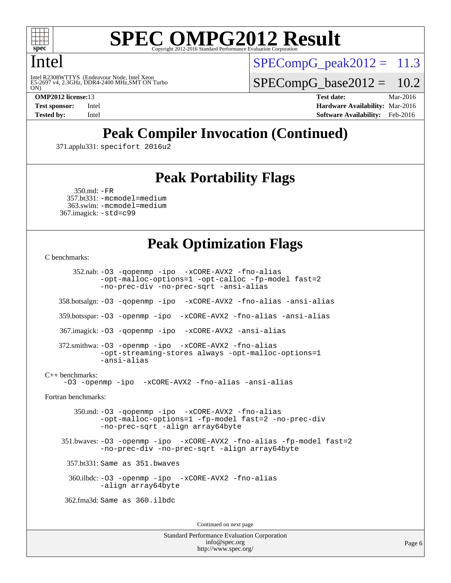

### Intel

Intel R2308WTTYS (Endeavour Node, Intel Xeon<br>E5-2697 v4, 2.3GHz, DDR4-2400 MHz,SMT ON Turbo<br>ON)

 $SPECompG<sub>p</sub>eak2012 = 11.3$ 

 $SPECompG_base2012 = 10.2$  $SPECompG_base2012 = 10.2$ 

**[OMP2012 license:](http://www.spec.org/auto/omp2012/Docs/result-fields.html#OMP2012license)**13 **[Test date:](http://www.spec.org/auto/omp2012/Docs/result-fields.html#Testdate)** Mar-2016 **[Test sponsor:](http://www.spec.org/auto/omp2012/Docs/result-fields.html#Testsponsor)** Intel **[Hardware Availability:](http://www.spec.org/auto/omp2012/Docs/result-fields.html#HardwareAvailability)** Mar-2016 **[Tested by:](http://www.spec.org/auto/omp2012/Docs/result-fields.html#Testedby)** Intel **[Software Availability:](http://www.spec.org/auto/omp2012/Docs/result-fields.html#SoftwareAvailability)** Feb-2016

## **[Peak Compiler Invocation \(Continued\)](http://www.spec.org/auto/omp2012/Docs/result-fields.html#PeakCompilerInvocation)**

371.applu331: [specifort 2016u2](http://www.spec.org/omp2012/results/res2016q1/omp2012-20160316-00068.flags.html#user_peakFCLD371_applu331_spec_intel_ifort_edf6397889f3446c49d2d06c82a770ae)

### **[Peak Portability Flags](http://www.spec.org/auto/omp2012/Docs/result-fields.html#PeakPortabilityFlags)**

```
 350.md: -FR
 357.bt331: -mcmodel=medium
  363.swim: -mcmodel=medium
367.imagick: -std=c99
```
### **[Peak Optimization Flags](http://www.spec.org/auto/omp2012/Docs/result-fields.html#PeakOptimizationFlags)**

```
C benchmarks:
```
 352.nab: [-O3](http://www.spec.org/omp2012/results/res2016q1/omp2012-20160316-00068.flags.html#user_peakOPTIMIZE352_nab_f-O3) [-qopenmp](http://www.spec.org/omp2012/results/res2016q1/omp2012-20160316-00068.flags.html#user_peakOPTIMIZE352_nab_f-qopenmp) [-ipo](http://www.spec.org/omp2012/results/res2016q1/omp2012-20160316-00068.flags.html#user_peakOPTIMIZE352_nab_f-ipo_84062ab53814f613187d02344b8f49a7) [-xCORE-AVX2](http://www.spec.org/omp2012/results/res2016q1/omp2012-20160316-00068.flags.html#user_peakOPTIMIZE352_nab_f-xCORE-AVX2) [-fno-alias](http://www.spec.org/omp2012/results/res2016q1/omp2012-20160316-00068.flags.html#user_peakOPTIMIZE352_nab_f-no-alias_694e77f6c5a51e658e82ccff53a9e63a) [-opt-malloc-options=1](http://www.spec.org/omp2012/results/res2016q1/omp2012-20160316-00068.flags.html#user_peakOPTIMIZE352_nab_f-opt-malloc-options_d882ffc6ff87e51efe45f9a5190004b0) [-opt-calloc](http://www.spec.org/omp2012/results/res2016q1/omp2012-20160316-00068.flags.html#user_peakOPTIMIZE352_nab_f-opt-calloc) [-fp-model fast=2](http://www.spec.org/omp2012/results/res2016q1/omp2012-20160316-00068.flags.html#user_peakOPTIMIZE352_nab_f-fp-model_a7fb8ccb7275e23f0079632c153cfcab) [-no-prec-div](http://www.spec.org/omp2012/results/res2016q1/omp2012-20160316-00068.flags.html#user_peakOPTIMIZE352_nab_f-no-prec-div) [-no-prec-sqrt](http://www.spec.org/omp2012/results/res2016q1/omp2012-20160316-00068.flags.html#user_peakOPTIMIZE352_nab_f-no-prec-sqrt) [-ansi-alias](http://www.spec.org/omp2012/results/res2016q1/omp2012-20160316-00068.flags.html#user_peakCOPTIMIZE352_nab_f-ansi-alias) 358.botsalgn: [-O3](http://www.spec.org/omp2012/results/res2016q1/omp2012-20160316-00068.flags.html#user_peakOPTIMIZE358_botsalgn_f-O3) [-qopenmp](http://www.spec.org/omp2012/results/res2016q1/omp2012-20160316-00068.flags.html#user_peakOPTIMIZE358_botsalgn_f-qopenmp) [-ipo](http://www.spec.org/omp2012/results/res2016q1/omp2012-20160316-00068.flags.html#user_peakOPTIMIZE358_botsalgn_f-ipo_84062ab53814f613187d02344b8f49a7) [-xCORE-AVX2](http://www.spec.org/omp2012/results/res2016q1/omp2012-20160316-00068.flags.html#user_peakOPTIMIZE358_botsalgn_f-xCORE-AVX2) [-fno-alias](http://www.spec.org/omp2012/results/res2016q1/omp2012-20160316-00068.flags.html#user_peakOPTIMIZE358_botsalgn_f-no-alias_694e77f6c5a51e658e82ccff53a9e63a) [-ansi-alias](http://www.spec.org/omp2012/results/res2016q1/omp2012-20160316-00068.flags.html#user_peakCOPTIMIZE358_botsalgn_f-ansi-alias) 359.botsspar: [-O3](http://www.spec.org/omp2012/results/res2016q1/omp2012-20160316-00068.flags.html#user_peakOPTIMIZE359_botsspar_f-O3) [-openmp](http://www.spec.org/omp2012/results/res2016q1/omp2012-20160316-00068.flags.html#user_peakOPTIMIZE359_botsspar_f-openmp) [-ipo](http://www.spec.org/omp2012/results/res2016q1/omp2012-20160316-00068.flags.html#user_peakOPTIMIZE359_botsspar_f-ipo_84062ab53814f613187d02344b8f49a7) [-xCORE-AVX2](http://www.spec.org/omp2012/results/res2016q1/omp2012-20160316-00068.flags.html#user_peakOPTIMIZE359_botsspar_f-xCORE-AVX2) [-fno-alias](http://www.spec.org/omp2012/results/res2016q1/omp2012-20160316-00068.flags.html#user_peakOPTIMIZE359_botsspar_f-no-alias_694e77f6c5a51e658e82ccff53a9e63a) [-ansi-alias](http://www.spec.org/omp2012/results/res2016q1/omp2012-20160316-00068.flags.html#user_peakCOPTIMIZE359_botsspar_f-ansi-alias) 367.imagick: [-O3](http://www.spec.org/omp2012/results/res2016q1/omp2012-20160316-00068.flags.html#user_peakOPTIMIZE367_imagick_f-O3) [-qopenmp](http://www.spec.org/omp2012/results/res2016q1/omp2012-20160316-00068.flags.html#user_peakOPTIMIZE367_imagick_f-qopenmp) [-ipo](http://www.spec.org/omp2012/results/res2016q1/omp2012-20160316-00068.flags.html#user_peakOPTIMIZE367_imagick_f-ipo_84062ab53814f613187d02344b8f49a7) [-xCORE-AVX2](http://www.spec.org/omp2012/results/res2016q1/omp2012-20160316-00068.flags.html#user_peakOPTIMIZE367_imagick_f-xCORE-AVX2) [-ansi-alias](http://www.spec.org/omp2012/results/res2016q1/omp2012-20160316-00068.flags.html#user_peakCOPTIMIZE367_imagick_f-ansi-alias) 372.smithwa: [-O3](http://www.spec.org/omp2012/results/res2016q1/omp2012-20160316-00068.flags.html#user_peakOPTIMIZE372_smithwa_f-O3) [-openmp](http://www.spec.org/omp2012/results/res2016q1/omp2012-20160316-00068.flags.html#user_peakOPTIMIZE372_smithwa_f-openmp) [-ipo](http://www.spec.org/omp2012/results/res2016q1/omp2012-20160316-00068.flags.html#user_peakOPTIMIZE372_smithwa_f-ipo_84062ab53814f613187d02344b8f49a7) [-xCORE-AVX2](http://www.spec.org/omp2012/results/res2016q1/omp2012-20160316-00068.flags.html#user_peakOPTIMIZE372_smithwa_f-xCORE-AVX2) [-fno-alias](http://www.spec.org/omp2012/results/res2016q1/omp2012-20160316-00068.flags.html#user_peakOPTIMIZE372_smithwa_f-no-alias_694e77f6c5a51e658e82ccff53a9e63a) [-opt-streaming-stores always](http://www.spec.org/omp2012/results/res2016q1/omp2012-20160316-00068.flags.html#user_peakOPTIMIZE372_smithwa_f-opt-streaming-stores-always_66f55dbc532842151ebc4c82f4f5b019) [-opt-malloc-options=1](http://www.spec.org/omp2012/results/res2016q1/omp2012-20160316-00068.flags.html#user_peakOPTIMIZE372_smithwa_f-opt-malloc-options_d882ffc6ff87e51efe45f9a5190004b0) [-ansi-alias](http://www.spec.org/omp2012/results/res2016q1/omp2012-20160316-00068.flags.html#user_peakCOPTIMIZE372_smithwa_f-ansi-alias) [C++ benchmarks:](http://www.spec.org/auto/omp2012/Docs/result-fields.html#CXXbenchmarks) [-O3](http://www.spec.org/omp2012/results/res2016q1/omp2012-20160316-00068.flags.html#user_CXXpeak_f-O3) [-openmp](http://www.spec.org/omp2012/results/res2016q1/omp2012-20160316-00068.flags.html#user_CXXpeak_f-openmp) [-ipo](http://www.spec.org/omp2012/results/res2016q1/omp2012-20160316-00068.flags.html#user_CXXpeak_f-ipo_84062ab53814f613187d02344b8f49a7) [-xCORE-AVX2](http://www.spec.org/omp2012/results/res2016q1/omp2012-20160316-00068.flags.html#user_CXXpeak_f-xCORE-AVX2) [-fno-alias](http://www.spec.org/omp2012/results/res2016q1/omp2012-20160316-00068.flags.html#user_CXXpeak_f-no-alias_694e77f6c5a51e658e82ccff53a9e63a) [-ansi-alias](http://www.spec.org/omp2012/results/res2016q1/omp2012-20160316-00068.flags.html#user_CXXpeak_f-ansi-alias) [Fortran benchmarks](http://www.spec.org/auto/omp2012/Docs/result-fields.html#Fortranbenchmarks): 350.md: [-O3](http://www.spec.org/omp2012/results/res2016q1/omp2012-20160316-00068.flags.html#user_peakOPTIMIZE350_md_f-O3) [-qopenmp](http://www.spec.org/omp2012/results/res2016q1/omp2012-20160316-00068.flags.html#user_peakOPTIMIZE350_md_f-qopenmp) [-ipo](http://www.spec.org/omp2012/results/res2016q1/omp2012-20160316-00068.flags.html#user_peakOPTIMIZE350_md_f-ipo_84062ab53814f613187d02344b8f49a7) [-xCORE-AVX2](http://www.spec.org/omp2012/results/res2016q1/omp2012-20160316-00068.flags.html#user_peakOPTIMIZE350_md_f-xCORE-AVX2) [-fno-alias](http://www.spec.org/omp2012/results/res2016q1/omp2012-20160316-00068.flags.html#user_peakOPTIMIZE350_md_f-no-alias_694e77f6c5a51e658e82ccff53a9e63a) [-opt-malloc-options=1](http://www.spec.org/omp2012/results/res2016q1/omp2012-20160316-00068.flags.html#user_peakOPTIMIZE350_md_f-opt-malloc-options_d882ffc6ff87e51efe45f9a5190004b0) [-fp-model fast=2](http://www.spec.org/omp2012/results/res2016q1/omp2012-20160316-00068.flags.html#user_peakFOPTIMIZE350_md_f-fp-model_a7fb8ccb7275e23f0079632c153cfcab) [-no-prec-div](http://www.spec.org/omp2012/results/res2016q1/omp2012-20160316-00068.flags.html#user_peakFOPTIMIZE350_md_f-no-prec-div) [-no-prec-sqrt](http://www.spec.org/omp2012/results/res2016q1/omp2012-20160316-00068.flags.html#user_peakFOPTIMIZE350_md_f-no-prec-sqrt) [-align array64byte](http://www.spec.org/omp2012/results/res2016q1/omp2012-20160316-00068.flags.html#user_peakFOPTIMIZE350_md_f-align_c9377f996e966d652baaf753401d4725) 351.bwaves: [-O3](http://www.spec.org/omp2012/results/res2016q1/omp2012-20160316-00068.flags.html#user_peakOPTIMIZE351_bwaves_f-O3) [-openmp](http://www.spec.org/omp2012/results/res2016q1/omp2012-20160316-00068.flags.html#user_peakOPTIMIZE351_bwaves_f-openmp) [-ipo](http://www.spec.org/omp2012/results/res2016q1/omp2012-20160316-00068.flags.html#user_peakOPTIMIZE351_bwaves_f-ipo_84062ab53814f613187d02344b8f49a7) [-xCORE-AVX2](http://www.spec.org/omp2012/results/res2016q1/omp2012-20160316-00068.flags.html#user_peakOPTIMIZE351_bwaves_f-xCORE-AVX2) [-fno-alias](http://www.spec.org/omp2012/results/res2016q1/omp2012-20160316-00068.flags.html#user_peakOPTIMIZE351_bwaves_f-no-alias_694e77f6c5a51e658e82ccff53a9e63a) [-fp-model fast=2](http://www.spec.org/omp2012/results/res2016q1/omp2012-20160316-00068.flags.html#user_peakFOPTIMIZE351_bwaves_f-fp-model_a7fb8ccb7275e23f0079632c153cfcab) [-no-prec-div](http://www.spec.org/omp2012/results/res2016q1/omp2012-20160316-00068.flags.html#user_peakFOPTIMIZE351_bwaves_f-no-prec-div) [-no-prec-sqrt](http://www.spec.org/omp2012/results/res2016q1/omp2012-20160316-00068.flags.html#user_peakFOPTIMIZE351_bwaves_f-no-prec-sqrt) [-align array64byte](http://www.spec.org/omp2012/results/res2016q1/omp2012-20160316-00068.flags.html#user_peakFOPTIMIZE351_bwaves_f-align_c9377f996e966d652baaf753401d4725) 357.bt331: Same as 351.bwaves 360.ilbdc: [-O3](http://www.spec.org/omp2012/results/res2016q1/omp2012-20160316-00068.flags.html#user_peakOPTIMIZE360_ilbdc_f-O3) [-openmp](http://www.spec.org/omp2012/results/res2016q1/omp2012-20160316-00068.flags.html#user_peakOPTIMIZE360_ilbdc_f-openmp) [-ipo](http://www.spec.org/omp2012/results/res2016q1/omp2012-20160316-00068.flags.html#user_peakOPTIMIZE360_ilbdc_f-ipo_84062ab53814f613187d02344b8f49a7) [-xCORE-AVX2](http://www.spec.org/omp2012/results/res2016q1/omp2012-20160316-00068.flags.html#user_peakOPTIMIZE360_ilbdc_f-xCORE-AVX2) [-fno-alias](http://www.spec.org/omp2012/results/res2016q1/omp2012-20160316-00068.flags.html#user_peakOPTIMIZE360_ilbdc_f-no-alias_694e77f6c5a51e658e82ccff53a9e63a) [-align array64byte](http://www.spec.org/omp2012/results/res2016q1/omp2012-20160316-00068.flags.html#user_peakFOPTIMIZE360_ilbdc_f-align_c9377f996e966d652baaf753401d4725) 362.fma3d: Same as 360.ilbdc Continued on next page